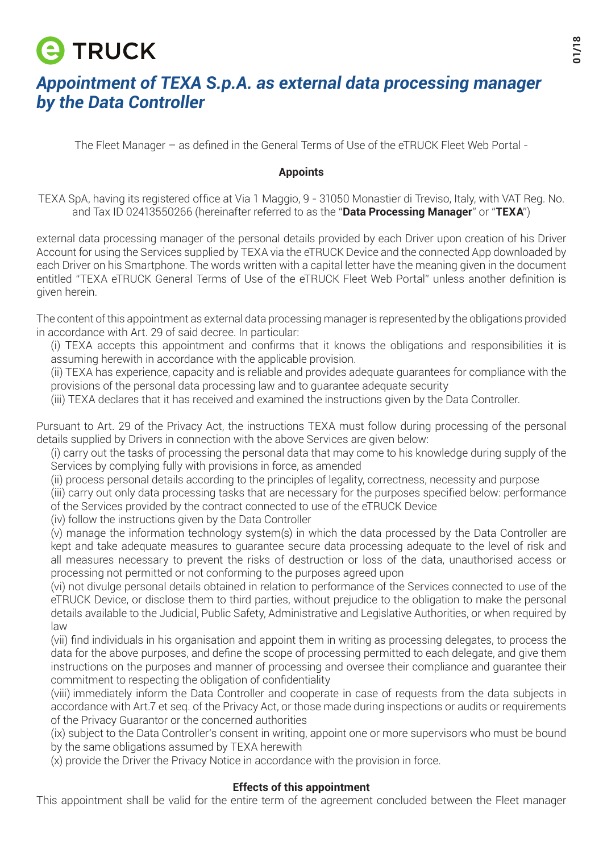## **e** TRUCK

## *Appointment of TEXA S.p.A. as external data processing manager by the Data Controller*

The Fleet Manager – as defined in the General Terms of Use of the eTRUCK Fleet Web Portal -

## **Appoints**

TEXA SpA, having its registered office at Via 1 Maggio, 9 - 31050 Monastier di Treviso, Italy, with VAT Reg. No. and Tax ID 02413550266 (hereinafter referred to as the "**Data Processing Manager**" or "**TEXA**")

external data processing manager of the personal details provided by each Driver upon creation of his Driver Account for using the Services supplied by TEXA via the eTRUCK Device and the connected App downloaded by each Driver on his Smartphone. The words written with a capital letter have the meaning given in the document entitled "TEXA eTRUCK General Terms of Use of the eTRUCK Fleet Web Portal" unless another definition is given herein.

The content of this appointment as external data processing manager is represented by the obligations provided in accordance with Art. 29 of said decree. In particular:

(i) TEXA accepts this appointment and confirms that it knows the obligations and responsibilities it is assuming herewith in accordance with the applicable provision.

(ii) TEXA has experience, capacity and is reliable and provides adequate guarantees for compliance with the provisions of the personal data processing law and to guarantee adequate security

(iii) TEXA declares that it has received and examined the instructions given by the Data Controller.

Pursuant to Art. 29 of the Privacy Act, the instructions TEXA must follow during processing of the personal details supplied by Drivers in connection with the above Services are given below:

(i) carry out the tasks of processing the personal data that may come to his knowledge during supply of the Services by complying fully with provisions in force, as amended

(ii) process personal details according to the principles of legality, correctness, necessity and purpose

(iii) carry out only data processing tasks that are necessary for the purposes specified below: performance of the Services provided by the contract connected to use of the eTRUCK Device

(iv) follow the instructions given by the Data Controller

(v) manage the information technology system(s) in which the data processed by the Data Controller are kept and take adequate measures to guarantee secure data processing adequate to the level of risk and all measures necessary to prevent the risks of destruction or loss of the data, unauthorised access or processing not permitted or not conforming to the purposes agreed upon

(vi) not divulge personal details obtained in relation to performance of the Services connected to use of the eTRUCK Device, or disclose them to third parties, without prejudice to the obligation to make the personal details available to the Judicial, Public Safety, Administrative and Legislative Authorities, or when required by law

(vii) find individuals in his organisation and appoint them in writing as processing delegates, to process the data for the above purposes, and define the scope of processing permitted to each delegate, and give them instructions on the purposes and manner of processing and oversee their compliance and guarantee their commitment to respecting the obligation of confidentiality

(viii) immediately inform the Data Controller and cooperate in case of requests from the data subjects in accordance with Art.7 et seq. of the Privacy Act, or those made during inspections or audits or requirements of the Privacy Guarantor or the concerned authorities

(ix) subject to the Data Controller's consent in writing, appoint one or more supervisors who must be bound by the same obligations assumed by TEXA herewith

(x) provide the Driver the Privacy Notice in accordance with the provision in force.

## **Effects of this appointment**

This appointment shall be valid for the entire term of the agreement concluded between the Fleet manager